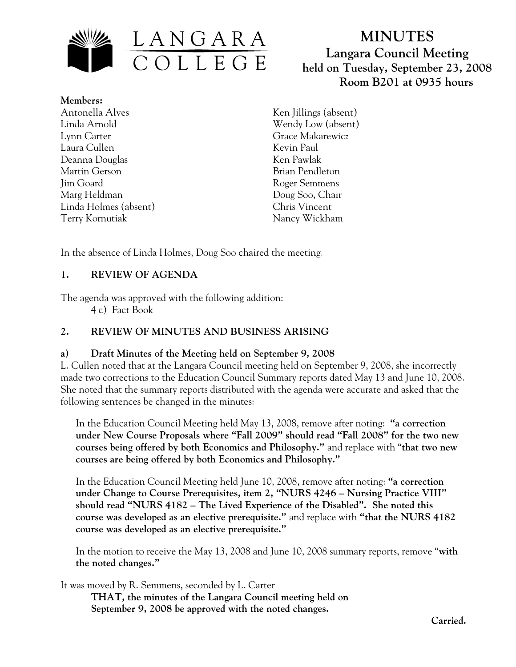

# **MINUTES Langara Council Meeting held on Tuesday, September 23, 2008 Room B201 at 0935 hours**

**Members:** Antonella Alves Linda Arnold Lynn Carter Laura Cullen Deanna Douglas Martin Gerson Jim Goard Marg Heldman Linda Holmes (absent) Terry Kornutiak

Ken Jillings (absent) Wendy Low (absent) Grace Makarewicz Kevin Paul Ken Pawlak Brian Pendleton Roger Semmens Doug Soo, Chair Chris Vincent Nancy Wickham

In the absence of Linda Holmes, Doug Soo chaired the meeting.

# **1. REVIEW OF AGENDA**

The agenda was approved with the following addition: 4 c) Fact Book

# **2. REVIEW OF MINUTES AND BUSINESS ARISING**

## **a) Draft Minutes of the Meeting held on September 9, 2008**

L. Cullen noted that at the Langara Council meeting held on September 9, 2008, she incorrectly made two corrections to the Education Council Summary reports dated May 13 and June 10, 2008. She noted that the summary reports distributed with the agenda were accurate and asked that the following sentences be changed in the minutes:

In the Education Council Meeting held May 13, 2008, remove after noting: **"a correction under New Course Proposals where "Fall 2009" should read "Fall 2008" for the two new courses being offered by both Economics and Philosophy."** and replace with "**that two new courses are being offered by both Economics and Philosophy."**

In the Education Council Meeting held June 10, 2008, remove after noting: **"a correction under Change to Course Prerequisites, item 2, "NURS 4246 – Nursing Practice VIII" should read "NURS 4182 – The Lived Experience of the Disabled". She noted this course was developed as an elective prerequisite."** and replace with **"that the NURS 4182 course was developed as an elective prerequisite."** 

In the motion to receive the May 13, 2008 and June 10, 2008 summary reports, remove "**with the noted changes."**

It was moved by R. Semmens, seconded by L. Carter

 **THAT, the minutes of the Langara Council meeting held on September 9, 2008 be approved with the noted changes.**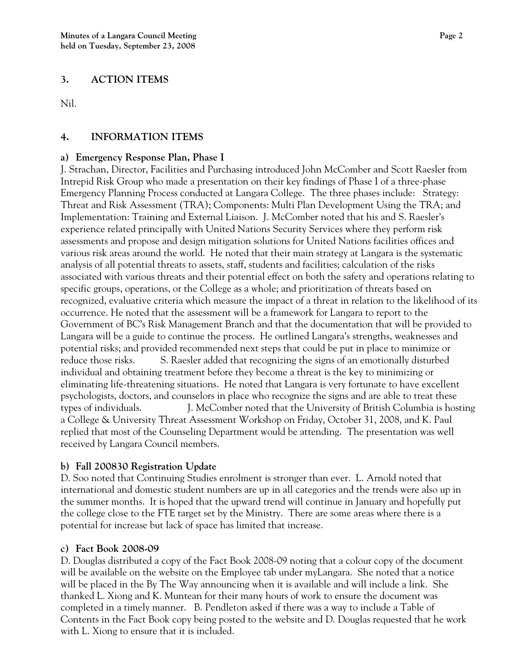## **3. ACTION ITEMS**

Nil.

## **4. INFORMATION ITEMS**

#### **a) Emergency Response Plan, Phase I**

J. Strachan, Director, Facilities and Purchasing introduced John McComber and Scott Raesler from Intrepid Risk Group who made a presentation on their key findings of Phase I of a three-phase Emergency Planning Process conducted at Langara College. The three phases include: Strategy: Threat and Risk Assessment (TRA); Components: Multi Plan Development Using the TRA; and Implementation: Training and External Liaison. J. McComber noted that his and S. Raesler's experience related principally with United Nations Security Services where they perform risk assessments and propose and design mitigation solutions for United Nations facilities offices and various risk areas around the world. He noted that their main strategy at Langara is the systematic analysis of all potential threats to assets, staff, students and facilities; calculation of the risks associated with various threats and their potential effect on both the safety and operations relating to specific groups, operations, or the College as a whole; and prioritization of threats based on recognized, evaluative criteria which measure the impact of a threat in relation to the likelihood of its occurrence. He noted that the assessment will be a framework for Langara to report to the Government of BC's Risk Management Branch and that the documentation that will be provided to Langara will be a guide to continue the process. He outlined Langara's strengths, weaknesses and potential risks; and provided recommended next steps that could be put in place to minimize or reduce those risks. S. Raesler added that recognizing the signs of an emotionally disturbed individual and obtaining treatment before they become a threat is the key to minimizing or eliminating life-threatening situations. He noted that Langara is very fortunate to have excellent psychologists, doctors, and counselors in place who recognize the signs and are able to treat these types of individuals. J. McComber noted that the University of British Columbia is hosting a College & University Threat Assessment Workshop on Friday, October 31, 2008, and K. Paul replied that most of the Counseling Department would be attending. The presentation was well received by Langara Council members.

### **b) Fall 200830 Registration Update**

D. Soo noted that Continuing Studies enrolment is stronger than ever. L. Arnold noted that international and domestic student numbers are up in all categories and the trends were also up in the summer months. It is hoped that the upward trend will continue in January and hopefully put the college close to the FTE target set by the Ministry. There are some areas where there is a potential for increase but lack of space has limited that increase.

### **c) Fact Book 2008-09**

D. Douglas distributed a copy of the Fact Book 2008-09 noting that a colour copy of the document will be available on the website on the Employee tab under myLangara. She noted that a notice will be placed in the By The Way announcing when it is available and will include a link. She thanked L. Xiong and K. Muntean for their many hours of work to ensure the document was completed in a timely manner. B. Pendleton asked if there was a way to include a Table of Contents in the Fact Book copy being posted to the website and D. Douglas requested that he work with L. Xiong to ensure that it is included.